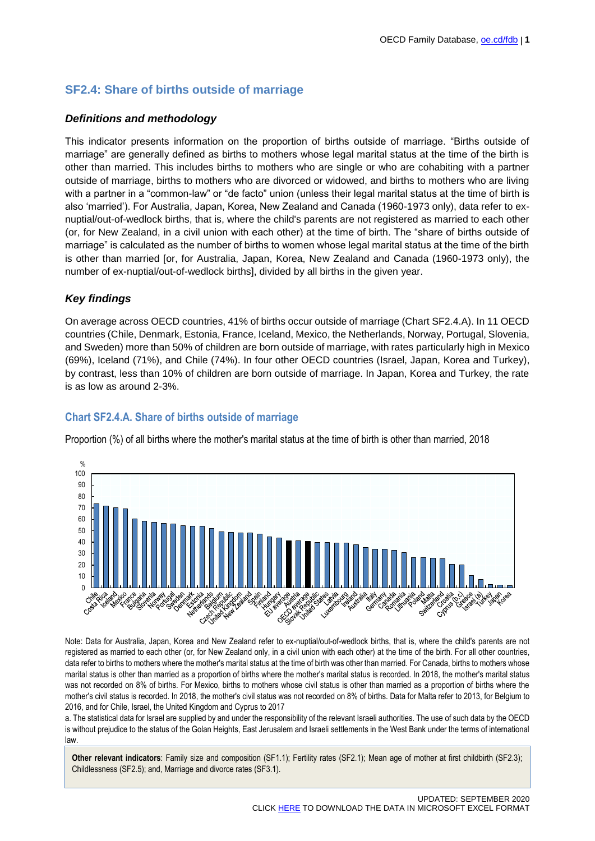# **SF2.4: Share of births outside of marriage**

### *Definitions and methodology*

This indicator presents information on the proportion of births outside of marriage. "Births outside of marriage" are generally defined as births to mothers whose legal marital status at the time of the birth is other than married. This includes births to mothers who are single or who are cohabiting with a partner outside of marriage, births to mothers who are divorced or widowed, and births to mothers who are living with a partner in a "common-law" or "de facto" union (unless their legal marital status at the time of birth is also 'married'). For Australia, Japan, Korea, New Zealand and Canada (1960-1973 only), data refer to exnuptial/out-of-wedlock births, that is, where the child's parents are not registered as married to each other (or, for New Zealand, in a civil union with each other) at the time of birth. The "share of births outside of marriage" is calculated as the number of births to women whose legal marital status at the time of the birth is other than married [or, for Australia, Japan, Korea, New Zealand and Canada (1960-1973 only), the number of ex-nuptial/out-of-wedlock births], divided by all births in the given year.

# *Key findings*

On average across OECD countries, 41% of births occur outside of marriage (Chart SF2.4.A). In 11 OECD countries (Chile, Denmark, Estonia, France, Iceland, Mexico, the Netherlands, Norway, Portugal, Slovenia, and Sweden) more than 50% of children are born outside of marriage, with rates particularly high in Mexico (69%), Iceland (71%), and Chile (74%). In four other OECD countries (Israel, Japan, Korea and Turkey), by contrast, less than 10% of children are born outside of marriage. In Japan, Korea and Turkey, the rate is as low as around 2-3%.

# **Chart SF2.4.A. Share of births outside of marriage**

Proportion (%) of all births where the mother's marital status at the time of birth is other than married, 2018



Note: Data for Australia, Japan, Korea and New Zealand refer to ex-nuptial/out-of-wedlock births, that is, where the child's parents are not registered as married to each other (or, for New Zealand only, in a civil union with each other) at the time of the birth. For all other countries, data refer to births to mothers where the mother's marital status at the time of birth was other than married. For Canada, births to mothers whose marital status is other than married as a proportion of births where the mother's marital status is recorded. In 2018, the mother's marital status was not recorded on 8% of births. For Mexico, births to mothers whose civil status is other than married as a proportion of births where the mother's civil status is recorded. In 2018, the mother's civil status was not recorded on 8% of births. Data for Malta refer to 2013, for Belgium to 2016, and for Chile, Israel, the United Kingdom and Cyprus to 2017

a. The statistical data for Israel are supplied by and under the responsibility of the relevant Israeli authorities. The use of such data by the OECD is without prejudice to the status of the Golan Heights, East Jerusalem and Israeli settlements in the West Bank under the terms of international law.

**Other relevant indicators**: Family size and composition (SF1.1); Fertility rates (SF2.1); Mean age of mother at first childbirth (SF2.3); Childlessness (SF2.5); and, Marriage and divorce rates (SF3.1).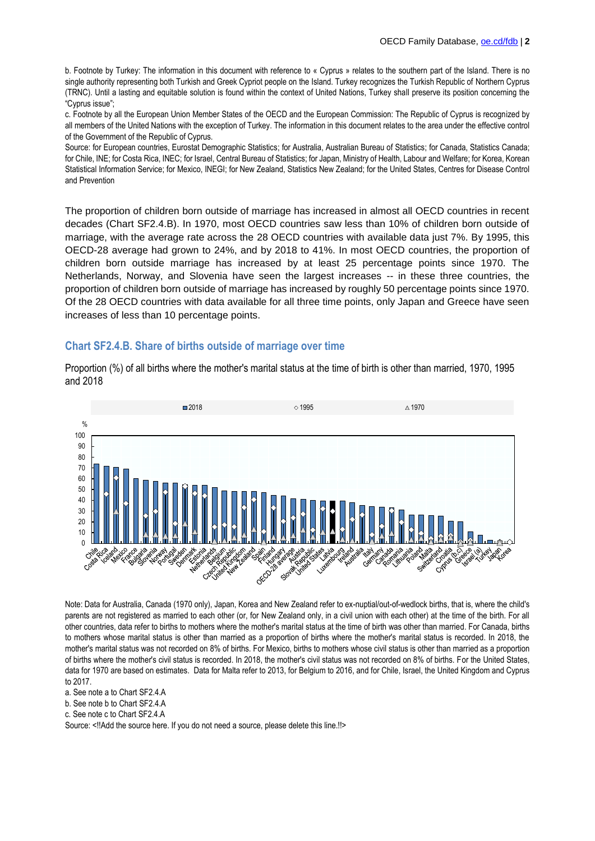b. Footnote by Turkey: The information in this document with reference to « Cyprus » relates to the southern part of the Island. There is no single authority representing both Turkish and Greek Cypriot people on the Island. Turkey recognizes the Turkish Republic of Northern Cyprus (TRNC). Until a lasting and equitable solution is found within the context of United Nations, Turkey shall preserve its position concerning the "Cyprus issue";

c. Footnote by all the European Union Member States of the OECD and the European Commission: The Republic of Cyprus is recognized by all members of the United Nations with the exception of Turkey. The information in this document relates to the area under the effective control of the Government of the Republic of Cyprus.

Source: [for European countries, Eurostat Demographic Statistics;](https://ec.europa.eu/eurostat/web/population-demography-migration-projections) [for Australia, Australian Bureau of Statistics;](http://www.abs.gov.au/) [for Canada, Statistics Canada;](https://www.statcan.gc.ca/eng/start) [for Chile, INE;](http://www.ine.cl/) [for Costa Rica, INEC;](http://www.inec.go.cr/) [for Israel, Central Bureau of Statistics;](http://www.cbs.gov.il/reader/cw_usr_view_Folder?ID=141) [for Japan, Ministry of Health, Labour and Welfare;](https://www.mhlw.go.jp/english/) [for Korea, Korean](http://kosis.kr/eng/)  [Statistical Information Service;](http://kosis.kr/eng/) [for Mexico, INEGI;](https://www.inegi.org.mx/) [for New Zealand, Statistics New Zealand;](https://www.stats.govt.nz/) [for the United States, Centres for Disease Control](http://www.cdc.gov/)  [and Prevention](http://www.cdc.gov/)

The proportion of children born outside of marriage has increased in almost all OECD countries in recent decades (Chart SF2.4.B). In 1970, most OECD countries saw less than 10% of children born outside of marriage, with the average rate across the 28 OECD countries with available data just 7%. By 1995, this OECD-28 average had grown to 24%, and by 2018 to 41%. In most OECD countries, the proportion of children born outside marriage has increased by at least 25 percentage points since 1970. The Netherlands, Norway, and Slovenia have seen the largest increases -- in these three countries, the proportion of children born outside of marriage has increased by roughly 50 percentage points since 1970. Of the 28 OECD countries with data available for all three time points, only Japan and Greece have seen increases of less than 10 percentage points.

#### **Chart SF2.4.B. Share of births outside of marriage over time**



Proportion (%) of all births where the mother's marital status at the time of birth is other than married, 1970, 1995 and 2018

Note: Data for Australia, Canada (1970 only), Japan, Korea and New Zealand refer to ex-nuptial/out-of-wedlock births, that is, where the child's parents are not registered as married to each other (or, for New Zealand only, in a civil union with each other) at the time of the birth. For all other countries, data refer to births to mothers where the mother's marital status at the time of birth was other than married. For Canada, births to mothers whose marital status is other than married as a proportion of births where the mother's marital status is recorded. In 2018, the mother's marital status was not recorded on 8% of births. For Mexico, births to mothers whose civil status is other than married as a proportion of births where the mother's civil status is recorded. In 2018, the mother's civil status was not recorded on 8% of births. For the United States, data for 1970 are based on estimates. Data for Malta refer to 2013, for Belgium to 2016, and for Chile, Israel, the United Kingdom and Cyprus to 2017.

a. See note a to Chart SF2.4.A

b. See note b to Chart SF2.4.A

c. See note c to Chart SF2.4.A

Source: <!!Add the source here. If you do not need a source, please delete this line.!!>